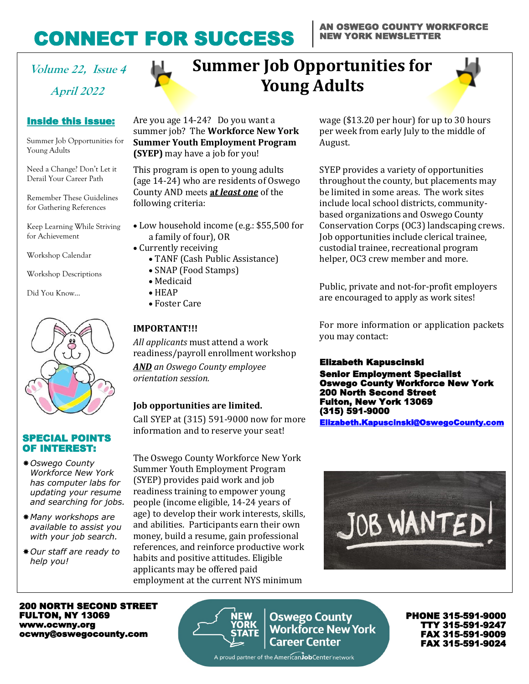## CONNECT FOR SUCCESS

#### AN OSWEGO COUNTY WORKFORCE NEW YORK NEWSLETTER

**April 2022**

### Inside this issue:

Summer Job Opportunities for Young Adults

Need a Change? Don't Let it Derail Your Career Path

Remember These Guidelines for Gathering References

Keep Learning While Striving for Achievement

Workshop Calendar

Workshop Descriptions

Did You Know…



#### SPECIAL POINTS OF INTEREST:

- *Oswego County Workforce New York has computer labs for updating your resume and searching for jobs.*
- *Many workshops are available to assist you with your job search.*
- *Our staff are ready to help you!*

## **Volume 22, Issue 4 Summer Job Opportunities for Young Adults**



Are you age 14-24? Do you want a summer job? The **Workforce New York Summer Youth Employment Program (SYEP)** may have a job for you!

This program is open to young adults (age 14-24) who are residents of Oswego County AND meets **a***t least one* of the following criteria:

- Low household income (e.g.: \$55,500 for a family of four), OR
- Currently receiving
	- TANF (Cash Public Assistance)
	- SNAP (Food Stamps)
	- Medicaid
	- HEAP
	- Foster Care

### **IMPORTANT!!!**

*All applicants* must attend a work readiness/payroll enrollment workshop *AND an Oswego County employee orientation session.*

#### **Job opportunities are limited.**

Call SYEP at (315) 591-9000 now for more information and to reserve your seat!

The Oswego County Workforce New York Summer Youth Employment Program (SYEP) provides paid work and job readiness training to empower young people (income eligible, 14-24 years of age) to develop their work interests, skills, and abilities. Participants earn their own money, build a resume, gain professional references, and reinforce productive work habits and positive attitudes. Eligible applicants may be offered paid employment at the current NYS minimum



PHONE 315-591-9000 TTY 315-591-9247 FAX 315-591-9009 FAX 315-591-9024

200 NORTH SECOND STREET FULTON, NY 13069 www.ocwny.org ocwny@oswegocounty.com



**Oswego County<br>Workforce New York Career Center** 

wage (\$13.20 per hour) for up to 30 hours per week from early July to the middle of August.

SYEP provides a variety of opportunities throughout the county, but placements may be limited in some areas. The work sites include local school districts, communitybased organizations and Oswego County Conservation Corps (OC3) landscaping crews. Job opportunities include clerical trainee, custodial trainee, recreational program helper, OC3 crew member and more.

Public, private and not-for-profit employers are encouraged to apply as work sites!

For more information or application packets you may contact:

#### Elizabeth Kapuscinski

Senior Employment Specialist Oswego County Workforce New York 200 North Second Street Fulton, New York 13069 (315) 591-9000

[Elizabeth.Kapuscinski@OswegoCounty.com](mailto:Elizabeth.Kapuscinski@OswegoCounty.com)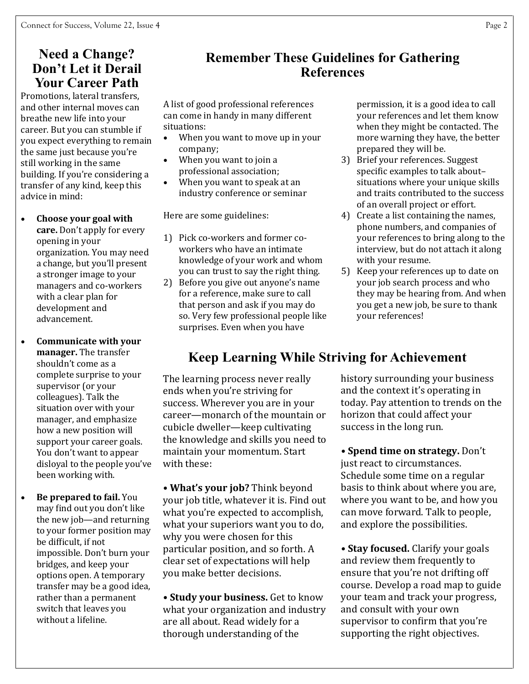## **Need a Change? Don't Let it Derail Your Career Path**

Promotions, lateral transfers, and other internal moves can breathe new life into your career. But you can stumble if you expect everything to remain the same just because you're still working in the same building. If you're considering a transfer of any kind, keep this advice in mind:

- **Choose your goal with care.** Don't apply for every opening in your organization. You may need a change, but you'll present a stronger image to your managers and co-workers with a clear plan for development and advancement.
- **Communicate with your manager.** The transfer shouldn't come as a complete surprise to your supervisor (or your colleagues). Talk the situation over with your manager, and emphasize how a new position will support your career goals. You don't want to appear disloyal to the people you've been working with.
- **Be prepared to fail.** You may find out you don't like the new job—and returning to your former position may be difficult, if not impossible. Don't burn your bridges, and keep your options open. A temporary transfer may be a good idea, rather than a permanent switch that leaves you without a lifeline.

## **Remember These Guidelines for Gathering References**

A list of good professional references can come in handy in many different situations:

- When you want to move up in your company;
- When you want to join a professional association;
- When you want to speak at an industry conference or seminar

Here are some guidelines:

- 1) Pick co-workers and former coworkers who have an intimate knowledge of your work and whom you can trust to say the right thing.
- 2) Before you give out anyone's name for a reference, make sure to call that person and ask if you may do so. Very few professional people like surprises. Even when you have

permission, it is a good idea to call your references and let them know when they might be contacted. The more warning they have, the better prepared they will be.

- 3) Brief your references. Suggest specific examples to talk about– situations where your unique skills and traits contributed to the success of an overall project or effort.
- 4) Create a list containing the names, phone numbers, and companies of your references to bring along to the interview, but do not attach it along with your resume.
- 5) Keep your references up to date on your job search process and who they may be hearing from. And when you get a new job, be sure to thank your references!

## **Keep Learning While Striving for Achievement**

The learning process never really ends when you're striving for success. Wherever you are in your career—monarch of the mountain or cubicle dweller—keep cultivating the knowledge and skills you need to maintain your momentum. Start with these:

**• What's your job?** Think beyond your job title, whatever it is. Find out what you're expected to accomplish, what your superiors want you to do, why you were chosen for this particular position, and so forth. A clear set of expectations will help you make better decisions.

**• Study your business.** Get to know what your organization and industry are all about. Read widely for a thorough understanding of the

history surrounding your business and the context it's operating in today. Pay attention to trends on the horizon that could affect your success in the long run.

**• Spend time on strategy.** Don't just react to circumstances. Schedule some time on a regular basis to think about where you are, where you want to be, and how you can move forward. Talk to people, and explore the possibilities.

**• Stay focused.** Clarify your goals and review them frequently to ensure that you're not drifting off course. Develop a road map to guide your team and track your progress, and consult with your own supervisor to confirm that you're supporting the right objectives.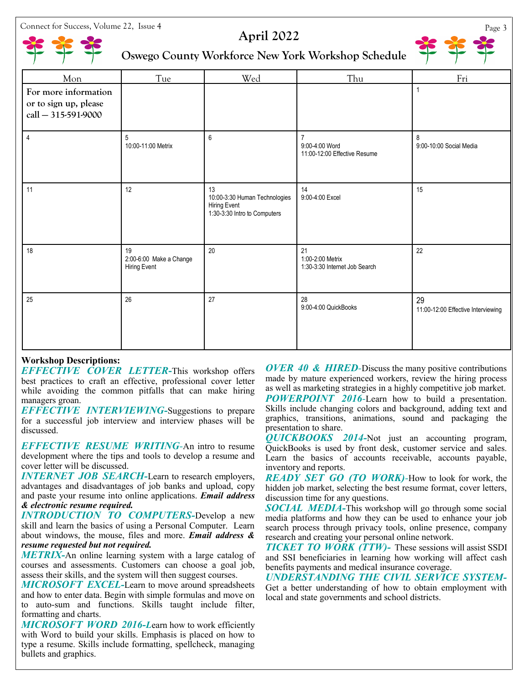Connect for Success, Volume 22, Issue 4 Page 3



## **April 2022**



## **Oswego County Workforce New York Workshop Schedule**

| Mon                                                                    | Tue                                           | Wed                                                                                        | Thu                                                              | Fri                                      |
|------------------------------------------------------------------------|-----------------------------------------------|--------------------------------------------------------------------------------------------|------------------------------------------------------------------|------------------------------------------|
| For more information<br>or to sign up, please<br>$call - 315-591-9000$ |                                               |                                                                                            |                                                                  | $\mathbf{1}$                             |
| $\overline{4}$                                                         | 5<br>10:00-11:00 Metrix                       | $6\phantom{1}$                                                                             | $\overline{7}$<br>9:00-4:00 Word<br>11:00-12:00 Effective Resume | 8<br>9:00-10:00 Social Media             |
| 11                                                                     | 12                                            | 13<br>10:00-3:30 Human Technologies<br><b>Hiring Event</b><br>1:30-3:30 Intro to Computers | 14<br>9:00-4:00 Excel                                            | 15                                       |
| 18                                                                     | 19<br>2:00-6:00 Make a Change<br>Hiring Event | 20                                                                                         | 21<br>1:00-2:00 Metrix<br>1:30-3:30 Internet Job Search          | 22                                       |
| 25                                                                     | 26                                            | 27                                                                                         | 28<br>9:00-4:00 QuickBooks                                       | 29<br>11:00-12:00 Effective Interviewing |

#### **Workshop Descriptions:**

*EFFECTIVE COVER LETTER***-**This workshop offers best practices to craft an effective, professional cover letter while avoiding the common pitfalls that can make hiring managers groan.

*EFFECTIVE INTERVIEWING-*Suggestions to prepare for a successful job interview and interview phases will be discussed.

*EFFECTIVE RESUME WRITING-*An intro to resume development where the tips and tools to develop a resume and cover letter will be discussed.

*INTERNET JOB SEARCH-Learn to research employers,* advantages and disadvantages of job banks and upload, copy and paste your resume into online applications. *Email address & electronic resume required.*

*INTRODUCTION TO COMPUTERS-*Develop a new skill and learn the basics of using a Personal Computer. Learn about windows, the mouse, files and more. *Email address & resume requested but not required.* 

*METRIX-*An online learning system with a large catalog of courses and assessments. Customers can choose a goal job, assess their skills, and the system will then suggest courses.

*MICROSOFT EXCEL-*Learn to move around spreadsheets and how to enter data. Begin with simple formulas and move on to auto-sum and functions. Skills taught include filter, formatting and charts.

*MICROSOFT WORD 2016-L*earn how to work efficiently with Word to build your skills. Emphasis is placed on how to type a resume. Skills include formatting, spellcheck, managing bullets and graphics.

*OVER 40 & HIRED-*Discuss the many positive contributions made by mature experienced workers, review the hiring process as well as marketing strategies in a highly competitive job market. *POWERPOINT 2016-*Learn how to build a presentation. Skills include changing colors and background, adding text and graphics, transitions, animations, sound and packaging the presentation to share.

*QUICKBOOKS 2014-*Not just an accounting program, QuickBooks is used by front desk, customer service and sales. Learn the basics of accounts receivable, accounts payable, inventory and reports.

*READY SET GO (TO WORK)-*How to look for work, the hidden job market, selecting the best resume format, cover letters, discussion time for any questions.

*SOCIAL MEDIA-*This workshop will go through some social media platforms and how they can be used to enhance your job search process through privacy tools, online presence, company research and creating your personal online network.

*TICKET TO WORK (TTW)-* These sessions will assist SSDI and SSI beneficiaries in learning how working will affect cash benefits payments and medical insurance coverage.

*UNDERSTANDING THE CIVIL SERVICE SYSTEM-*Get a better understanding of how to obtain employment with local and state governments and school districts.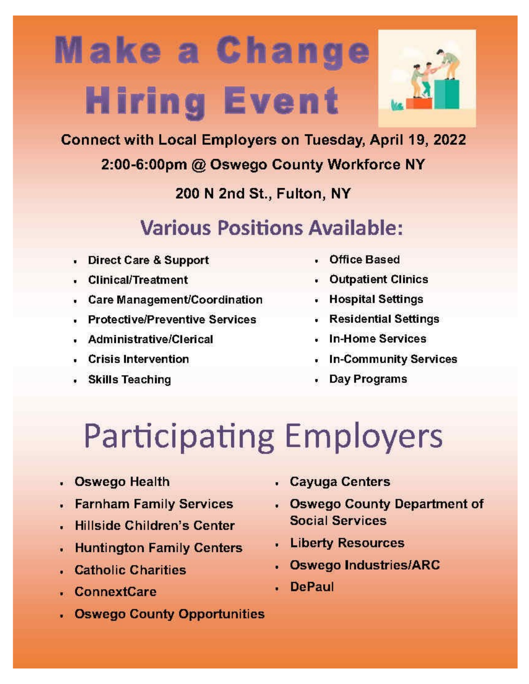# **Make a Change Hiring Event**



Connect with Local Employers on Tuesday, April 19, 2022

## 2:00-6:00pm @ Oswego County Workforce NY

200 N 2nd St., Fulton, NY

## **Various Positions Available:**

- **Direct Care & Support**  $\bullet$
- **Clinical/Treatment**
- Care Management/Coordination
- **Protective/Preventive Services**
- **Administrative/Clerical**
- **Crisis Intervention**
- Skills Teaching
- Office Based
- Outpatient Clinics
- Hospital Settings
- Residential Settings
- . In-Home Services
- **In-Community Services**
- Day Programs

# **Participating Employers**

- . Oswego Health
- **Farnham Family Services**
- **Hillside Children's Center**
- . Huntington Family Centers
- . Catholic Charities
- **ConnextCare**
- **Oswego County Opportunities**
- . Cayuga Centers
- Oswego County Department of **Social Services**
- . Liberty Resources
- . Oswego Industries/ARC
- **DePaul**